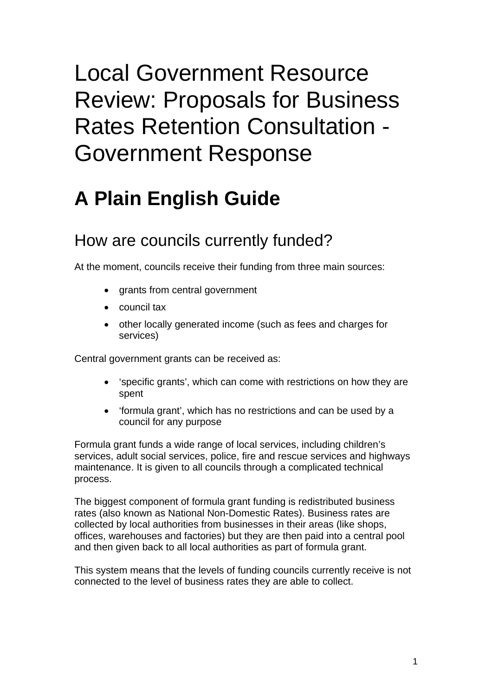# Local Government Resource Review: Proposals for Business Rates Retention Consultation - Government Response

## **A Plain English Guide**

### How are councils currently funded?

At the moment, councils receive their funding from three main sources:

- grants from central government
- council tax
- other locally generated income (such as fees and charges for services)

Central government grants can be received as:

- 'specific grants', which can come with restrictions on how they are spent
- 'formula grant', which has no restrictions and can be used by a council for any purpose

Formula grant funds a wide range of local services, including children's services, adult social services, police, fire and rescue services and highways maintenance. It is given to all councils through a complicated technical process.

The biggest component of formula grant funding is redistributed business rates (also known as National Non-Domestic Rates). Business rates are collected by local authorities from businesses in their areas (like shops, offices, warehouses and factories) but they are then paid into a central pool and then given back to all local authorities as part of formula grant.

This system means that the levels of funding councils currently receive is not connected to the level of business rates they are able to collect.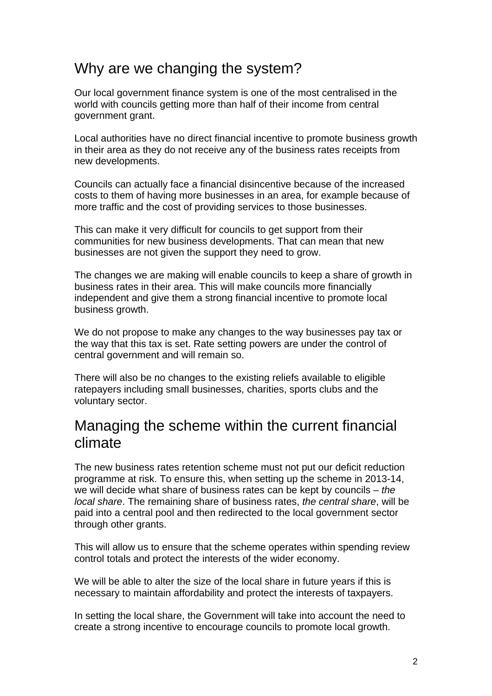#### Why are we changing the system?

Our local government finance system is one of the most centralised in the world with councils getting more than half of their income from central government grant.

Local authorities have no direct financial incentive to promote business growth in their area as they do not receive any of the business rates receipts from new developments.

Councils can actually face a financial disincentive because of the increased costs to them of having more businesses in an area, for example because of more traffic and the cost of providing services to those businesses.

This can make it very difficult for councils to get support from their communities for new business developments. That can mean that new businesses are not given the support they need to grow.

The changes we are making will enable councils to keep a share of growth in business rates in their area. This will make councils more financially independent and give them a strong financial incentive to promote local business growth.

We do not propose to make any changes to the way businesses pay tax or the way that this tax is set. Rate setting powers are under the control of central government and will remain so.

There will also be no changes to the existing reliefs available to eligible ratepayers including small businesses, charities, sports clubs and the voluntary sector.

#### Managing the scheme within the current financial climate

The new business rates retention scheme must not put our deficit reduction programme at risk. To ensure this, when setting up the scheme in 2013-14, we will decide what share of business rates can be kept by councils – *the local share*. The remaining share of business rates, *the central share*, will be paid into a central pool and then redirected to the local government sector through other grants.

This will allow us to ensure that the scheme operates within spending review control totals and protect the interests of the wider economy.

We will be able to alter the size of the local share in future years if this is necessary to maintain affordability and protect the interests of taxpayers.

In setting the local share, the Government will take into account the need to create a strong incentive to encourage councils to promote local growth.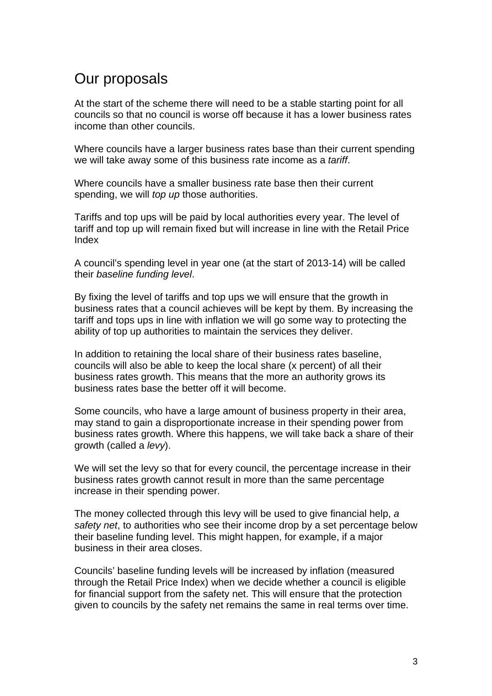#### Our proposals

At the start of the scheme there will need to be a stable starting point for all councils so that no council is worse off because it has a lower business rates income than other councils.

Where councils have a larger business rates base than their current spending we will take away some of this business rate income as a *tariff*.

Where councils have a smaller business rate base then their current spending, we will *top up* those authorities.

Tariffs and top ups will be paid by local authorities every year. The level of tariff and top up will remain fixed but will increase in line with the Retail Price Index

A council's spending level in year one (at the start of 2013-14) will be called their *baseline funding level*.

By fixing the level of tariffs and top ups we will ensure that the growth in business rates that a council achieves will be kept by them. By increasing the tariff and tops ups in line with inflation we will go some way to protecting the ability of top up authorities to maintain the services they deliver.

In addition to retaining the local share of their business rates baseline, councils will also be able to keep the local share (x percent) of all their business rates growth. This means that the more an authority grows its business rates base the better off it will become.

Some councils, who have a large amount of business property in their area, may stand to gain a disproportionate increase in their spending power from business rates growth. Where this happens, we will take back a share of their growth (called a *levy*).

We will set the levy so that for every council, the percentage increase in their business rates growth cannot result in more than the same percentage increase in their spending power.

The money collected through this levy will be used to give financial help, *a safety net*, to authorities who see their income drop by a set percentage below their baseline funding level. This might happen, for example, if a major business in their area closes.

Councils' baseline funding levels will be increased by inflation (measured through the Retail Price Index) when we decide whether a council is eligible for financial support from the safety net. This will ensure that the protection given to councils by the safety net remains the same in real terms over time.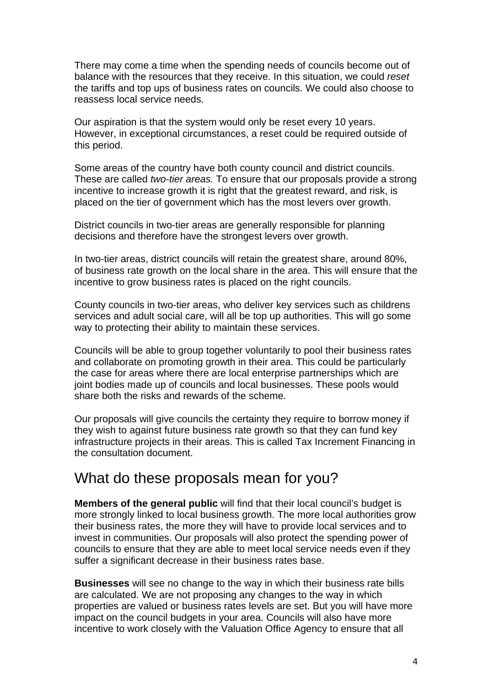There may come a time when the spending needs of councils become out of balance with the resources that they receive. In this situation, we could *reset*  the tariffs and top ups of business rates on councils. We could also choose to reassess local service needs.

Our aspiration is that the system would only be reset every 10 years. However, in exceptional circumstances, a reset could be required outside of this period.

Some areas of the country have both county council and district councils. These are called *two-tier areas.* To ensure that our proposals provide a strong incentive to increase growth it is right that the greatest reward, and risk, is placed on the tier of government which has the most levers over growth.

District councils in two-tier areas are generally responsible for planning decisions and therefore have the strongest levers over growth.

In two-tier areas, district councils will retain the greatest share, around 80%, of business rate growth on the local share in the area. This will ensure that the incentive to grow business rates is placed on the right councils.

County councils in two-tier areas, who deliver key services such as childrens services and adult social care, will all be top up authorities. This will go some way to protecting their ability to maintain these services.

Councils will be able to group together voluntarily to pool their business rates and collaborate on promoting growth in their area. This could be particularly the case for areas where there are local enterprise partnerships which are joint bodies made up of councils and local businesses. These pools would share both the risks and rewards of the scheme.

Our proposals will give councils the certainty they require to borrow money if they wish to against future business rate growth so that they can fund key infrastructure projects in their areas. This is called Tax Increment Financing in the consultation document.

#### What do these proposals mean for you?

**Members of the general public** will find that their local council's budget is more strongly linked to local business growth. The more local authorities grow their business rates, the more they will have to provide local services and to invest in communities. Our proposals will also protect the spending power of councils to ensure that they are able to meet local service needs even if they suffer a significant decrease in their business rates base.

**Businesses** will see no change to the way in which their business rate bills are calculated. We are not proposing any changes to the way in which properties are valued or business rates levels are set. But you will have more impact on the council budgets in your area. Councils will also have more incentive to work closely with the Valuation Office Agency to ensure that all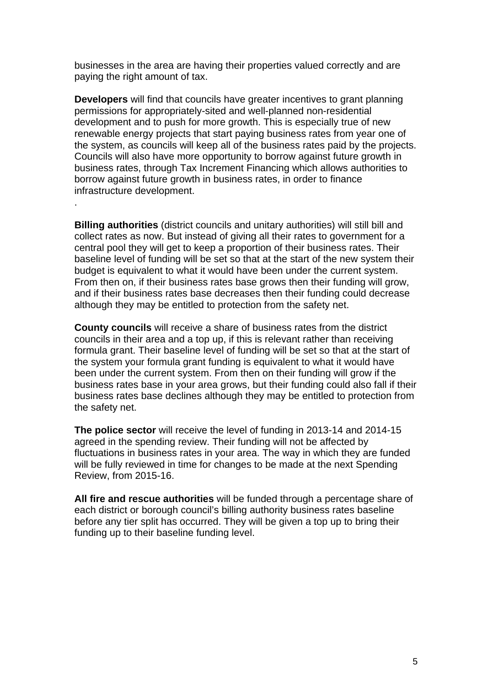businesses in the area are having their properties valued correctly and are paying the right amount of tax.

**Developers** will find that councils have greater incentives to grant planning permissions for appropriately-sited and well-planned non-residential development and to push for more growth. This is especially true of new renewable energy projects that start paying business rates from year one of the system, as councils will keep all of the business rates paid by the projects. Councils will also have more opportunity to borrow against future growth in business rates, through Tax Increment Financing which allows authorities to borrow against future growth in business rates, in order to finance infrastructure development.

.

**Billing authorities** (district councils and unitary authorities) will still bill and collect rates as now. But instead of giving all their rates to government for a central pool they will get to keep a proportion of their business rates. Their baseline level of funding will be set so that at the start of the new system their budget is equivalent to what it would have been under the current system. From then on, if their business rates base grows then their funding will grow, and if their business rates base decreases then their funding could decrease although they may be entitled to protection from the safety net.

**County councils** will receive a share of business rates from the district councils in their area and a top up, if this is relevant rather than receiving formula grant. Their baseline level of funding will be set so that at the start of the system your formula grant funding is equivalent to what it would have been under the current system. From then on their funding will grow if the business rates base in your area grows, but their funding could also fall if their business rates base declines although they may be entitled to protection from the safety net.

**The police sector** will receive the level of funding in 2013-14 and 2014-15 agreed in the spending review. Their funding will not be affected by fluctuations in business rates in your area. The way in which they are funded will be fully reviewed in time for changes to be made at the next Spending Review, from 2015-16.

**All fire and rescue authorities** will be funded through a percentage share of each district or borough council's billing authority business rates baseline before any tier split has occurred. They will be given a top up to bring their funding up to their baseline funding level.